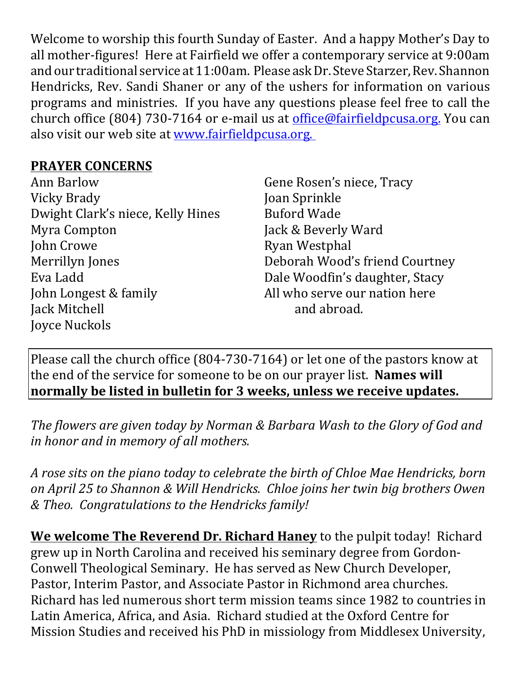Welcome to worship this fourth Sunday of Easter. And a happy Mother's Day to all mother-figures! Here at Fairfield we offer a contemporary service at 9:00am and our traditional service at 11:00am. Please ask Dr. Steve Starzer, Rev. Shannon Hendricks, Rev. Sandi Shaner or any of the ushers for information on various programs and ministries. If you have any questions please feel free to call the church office (804) 730-7164 or e-mail us at *office@fairfieldpcusa.org*. You can also visit our web site at www.fairfieldpcusa.org.

## **PRAYER CONCERNS**

| <b>Ann Barlow</b>                 |
|-----------------------------------|
| Vicky Brady                       |
| Dwight Clark's niece, Kelly Hines |
| Myra Compton                      |
| John Crowe                        |
| Merrillyn Jones                   |
| Eva Ladd                          |
| John Longest & family             |
| Jack Mitchell                     |
| Joyce Nuckols                     |

Gene Rosen's niece, Tracy Joan Sprinkle Buford Wade Jack & Beverly Ward Ryan Westphal Deborah Wood's friend Courtney Dale Woodfin's daughter, Stacy All who serve our nation here and abroad.

Please call the church office (804-730-7164) or let one of the pastors know at the end of the service for someone to be on our prayer list. **Names will normally be listed in bulletin for 3 weeks, unless we receive updates.**

*The flowers are given today by Norman & Barbara Wash to the Glory of God and in honor and in memory of all mothers.*

*A rose sits on the piano today to celebrate the birth of Chloe Mae Hendricks, born on April 25 to Shannon & Will Hendricks. Chloe joins her twin big brothers Owen & Theo. Congratulations to the Hendricks family!*

**We welcome The Reverend Dr. Richard Haney** to the pulpit today! Richard grew up in North Carolina and received his seminary degree from Gordon-Conwell Theological Seminary. He has served as New Church Developer, Pastor, Interim Pastor, and Associate Pastor in Richmond area churches. Richard has led numerous short term mission teams since 1982 to countries in Latin America, Africa, and Asia. Richard studied at the Oxford Centre for Mission Studies and received his PhD in missiology from Middlesex University,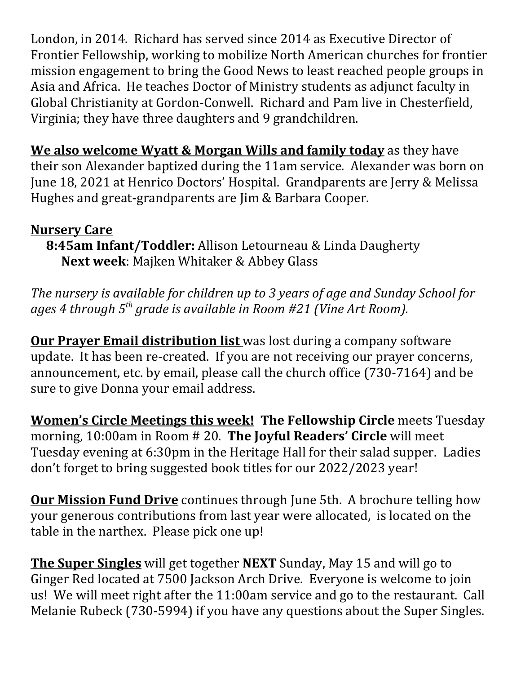London, in 2014. Richard has served since 2014 as Executive Director of Frontier Fellowship, working to mobilize North American churches for frontier mission engagement to bring the Good News to least reached people groups in Asia and Africa. He teaches Doctor of Ministry students as adjunct faculty in Global Christianity at Gordon-Conwell. Richard and Pam live in Chesterfield, Virginia; they have three daughters and 9 grandchildren.

**We also welcome Wyatt & Morgan Wills and family today** as they have their son Alexander baptized during the 11am service. Alexander was born on June 18, 2021 at Henrico Doctors' Hospital. Grandparents are Jerry & Melissa Hughes and great-grandparents are Jim & Barbara Cooper.

## **Nursery Care**

**8:45am Infant/Toddler:** Allison Letourneau & Linda Daugherty **Next week**: Majken Whitaker & Abbey Glass

*The nursery is available for children up to 3 years of age and Sunday School for ages 4 through 5th grade is available in Room #21 (Vine Art Room).*

**Our Prayer Email distribution list** was lost during a company software update. It has been re-created. If you are not receiving our prayer concerns, announcement, etc. by email, please call the church office (730-7164) and be sure to give Donna your email address.

**Women's Circle Meetings this week! The Fellowship Circle** meets Tuesday morning, 10:00am in Room # 20. **The Joyful Readers' Circle** will meet Tuesday evening at 6:30pm in the Heritage Hall for their salad supper. Ladies don't forget to bring suggested book titles for our 2022/2023 year!

**Our Mission Fund Drive** continues through June 5th. A brochure telling how your generous contributions from last year were allocated, is located on the table in the narthex. Please pick one up!

**The Super Singles** will get together **NEXT** Sunday, May 15 and will go to Ginger Red located at 7500 Jackson Arch Drive. Everyone is welcome to join us! We will meet right after the 11:00am service and go to the restaurant. Call Melanie Rubeck (730-5994) if you have any questions about the Super Singles.